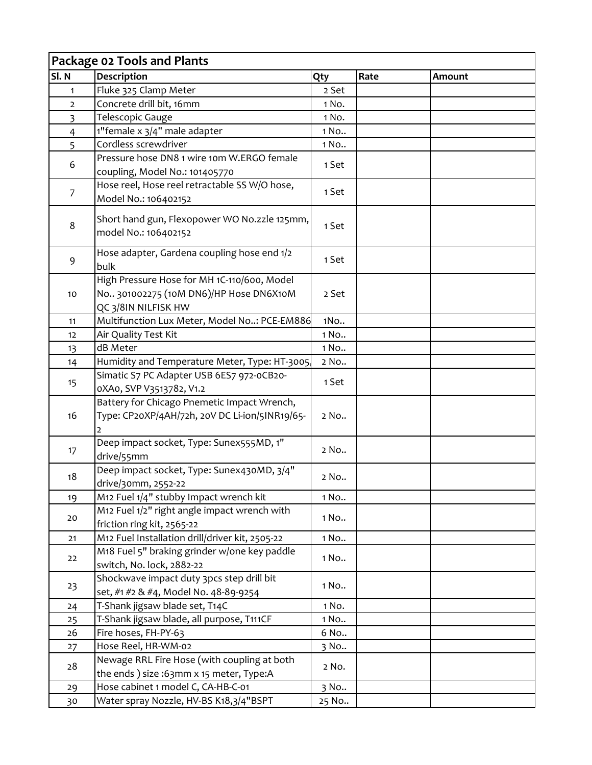|                | Package 02 Tools and Plants                                                                                  |       |      |        |  |  |  |
|----------------|--------------------------------------------------------------------------------------------------------------|-------|------|--------|--|--|--|
| SI.N           | Description                                                                                                  | Qty   | Rate | Amount |  |  |  |
| $\mathbf{1}$   | Fluke 325 Clamp Meter                                                                                        | 2 Set |      |        |  |  |  |
| $\overline{2}$ | Concrete drill bit, 16mm                                                                                     | 1 No. |      |        |  |  |  |
| 3              | Telescopic Gauge                                                                                             | 1 No. |      |        |  |  |  |
| $\overline{4}$ | 1"female x 3/4" male adapter                                                                                 | 1 No  |      |        |  |  |  |
| 5              | Cordless screwdriver                                                                                         | 1 No  |      |        |  |  |  |
| 6              | Pressure hose DN8 1 wire 10m W.ERGO female                                                                   |       |      |        |  |  |  |
|                | coupling, Model No.: 101405770                                                                               | 1 Set |      |        |  |  |  |
| 7              | Hose reel, Hose reel retractable SS W/O hose,                                                                | 1 Set |      |        |  |  |  |
|                | Model No.: 106402152                                                                                         |       |      |        |  |  |  |
| 8              | Short hand gun, Flexopower WO No.zzle 125mm,<br>model No.: 106402152                                         | 1 Set |      |        |  |  |  |
| 9              | Hose adapter, Gardena coupling hose end 1/2<br>bulk                                                          | 1 Set |      |        |  |  |  |
| 10             | High Pressure Hose for MH 1C-110/600, Model<br>No 301002275 (10M DN6)/HP Hose DN6X10M<br>QC 3/8IN NILFISK HW | 2 Set |      |        |  |  |  |
| 11             | Multifunction Lux Meter, Model No: PCE-EM886                                                                 | 1No   |      |        |  |  |  |
| 12             | Air Quality Test Kit                                                                                         | 1 No  |      |        |  |  |  |
| 13             | dB Meter                                                                                                     | 1 No  |      |        |  |  |  |
| 14             | Humidity and Temperature Meter, Type: HT-3005,                                                               | 2 No  |      |        |  |  |  |
| 15             | Simatic S7 PC Adapter USB 6ES7 972-0CB20-<br>0XA0, SVP V3513782, V1.2                                        | 1 Set |      |        |  |  |  |
| 16             | Battery for Chicago Pnemetic Impact Wrench,<br>Type: CP20XP/4AH/72h, 20V DC Li-ion/5INR19/65-                | 2 No  |      |        |  |  |  |
| 17             | Deep impact socket, Type: Sunex555MD, 1"<br>drive/55mm                                                       | 2 No  |      |        |  |  |  |
| 18             | Deep impact socket, Type: Sunex430MD, 3/4"<br>drive/30mm, 2552-22                                            | 2 No  |      |        |  |  |  |
| 19             | M12 Fuel 1/4" stubby Impact wrench kit                                                                       | 1 No  |      |        |  |  |  |
| 20             | M12 Fuel 1/2" right angle impact wrench with<br>friction ring kit, 2565-22                                   | 1 No  |      |        |  |  |  |
| 21             | M12 Fuel Installation drill/driver kit, 2505-22                                                              | 1 No  |      |        |  |  |  |
| 22             | M18 Fuel 5" braking grinder w/one key paddle<br>switch, No. lock, 2882-22                                    | 1 No  |      |        |  |  |  |
| 23             | Shockwave impact duty 3pcs step drill bit<br>set, #1 #2 & #4, Model No. 48-89-9254                           | 1 No  |      |        |  |  |  |
| 24             | T-Shank jigsaw blade set, T14C                                                                               | 1 No. |      |        |  |  |  |
| 25             | T-Shank jigsaw blade, all purpose, T111CF                                                                    | 1 No  |      |        |  |  |  |
| 26             | Fire hoses, FH-PY-63                                                                                         | 6 No  |      |        |  |  |  |
| 27             | Hose Reel, HR-WM-02                                                                                          | 3 No  |      |        |  |  |  |
| 28             | Newage RRL Fire Hose (with coupling at both<br>the ends) size:63mm x 15 meter, Type:A                        | 2 No. |      |        |  |  |  |
| 29             | Hose cabinet 1 model C, CA-HB-C-01                                                                           | 3 No  |      |        |  |  |  |
| 30             | Water spray Nozzle, HV-BS K18,3/4"BSPT                                                                       | 25 No |      |        |  |  |  |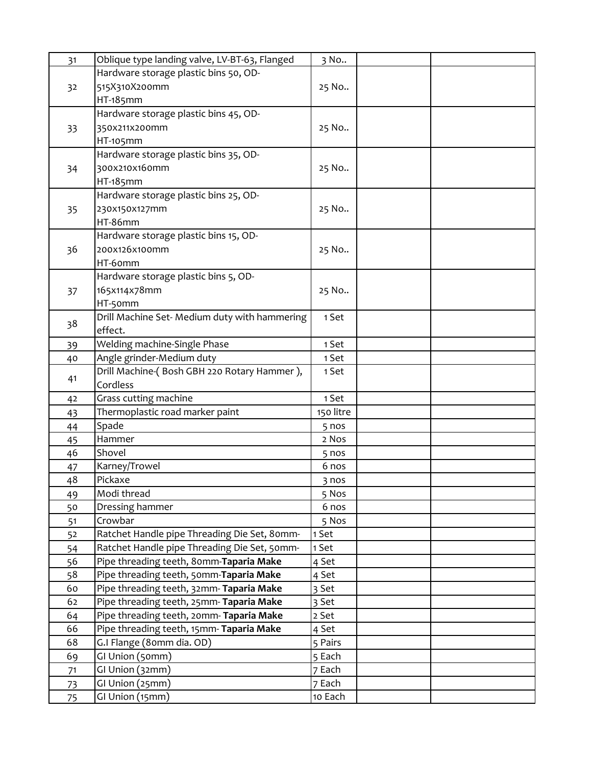| 31 | Oblique type landing valve, LV-BT-63, Flanged | 3 No      |  |
|----|-----------------------------------------------|-----------|--|
|    | Hardware storage plastic bins 50, OD-         |           |  |
| 32 | 515X310X200mm                                 | 25 No     |  |
|    | HT-185mm                                      |           |  |
|    | Hardware storage plastic bins 45, OD-         |           |  |
| 33 | 350x211x200mm                                 | 25 No     |  |
|    | HT-105mm                                      |           |  |
|    | Hardware storage plastic bins 35, OD-         |           |  |
| 34 | 300x210x160mm                                 | 25 No     |  |
|    | HT-185mm                                      |           |  |
|    | Hardware storage plastic bins 25, OD-         |           |  |
| 35 | 230x150x127mm                                 | 25 No     |  |
|    | HT-86mm                                       |           |  |
|    | Hardware storage plastic bins 15, OD-         |           |  |
| 36 | 200x126x100mm                                 | 25 No     |  |
|    | HT-6omm                                       |           |  |
|    | Hardware storage plastic bins 5, OD-          |           |  |
| 37 | 165x114x78mm                                  | 25 No     |  |
|    | HT-50mm                                       |           |  |
|    | Drill Machine Set- Medium duty with hammering | 1 Set     |  |
| 38 | effect.                                       |           |  |
| 39 | Welding machine-Single Phase                  | 1 Set     |  |
| 40 | Angle grinder-Medium duty                     | 1 Set     |  |
|    | Drill Machine-(Bosh GBH 220 Rotary Hammer),   | 1 Set     |  |
| 41 | Cordless                                      |           |  |
| 42 | Grass cutting machine                         | 1 Set     |  |
| 43 | Thermoplastic road marker paint               | 150 litre |  |
| 44 | Spade                                         | 5 nos     |  |
| 45 | Hammer                                        | 2 Nos     |  |
| 46 | Shovel                                        | 5 nos     |  |
| 47 | Karney/Trowel                                 | 6 nos     |  |
| 48 | Pickaxe                                       | 3 nos     |  |
| 49 | Modi thread                                   | 5 Nos     |  |
| 50 | Dressing hammer                               | 6 nos     |  |
| 51 | Crowbar                                       | 5 Nos     |  |
| 52 | Ratchet Handle pipe Threading Die Set, 80mm-  | 1 Set     |  |
| 54 | Ratchet Handle pipe Threading Die Set, 50mm-  | 1 Set     |  |
| 56 | Pipe threading teeth, 80mm-Taparia Make       | 4 Set     |  |
| 58 | Pipe threading teeth, 50mm-Taparia Make       | 4 Set     |  |
| 60 | Pipe threading teeth, 32mm-Taparia Make       | 3 Set     |  |
| 62 | Pipe threading teeth, 25mm-Taparia Make       | 3 Set     |  |
| 64 | Pipe threading teeth, 20mm- Taparia Make      | 2 Set     |  |
| 66 | Pipe threading teeth, 15mm- Taparia Make      | 4 Set     |  |
| 68 | G.I Flange (80mm dia. OD)                     | 5 Pairs   |  |
| 69 | GI Union (50mm)                               | 5 Each    |  |
| 71 | GI Union (32mm)                               | 7 Each    |  |
| 73 | GI Union (25mm)                               | 7 Each    |  |
| 75 | GI Union (15mm)                               | 10 Each   |  |